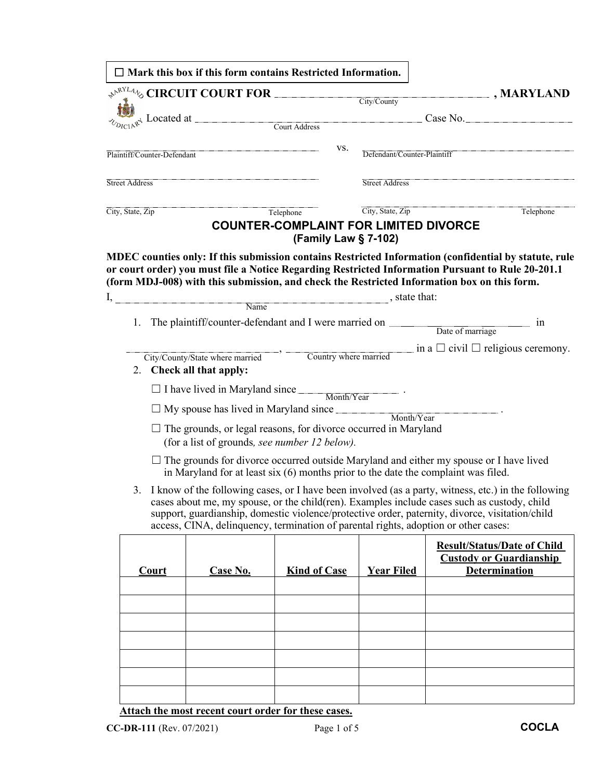|  |                                                                                                                                                                                                                                                                                                                                                                                      | $\Box$ Mark this box if this form contains Restricted Information.                  |                                              |                             |                                                                                                       |  |
|--|--------------------------------------------------------------------------------------------------------------------------------------------------------------------------------------------------------------------------------------------------------------------------------------------------------------------------------------------------------------------------------------|-------------------------------------------------------------------------------------|----------------------------------------------|-----------------------------|-------------------------------------------------------------------------------------------------------|--|
|  |                                                                                                                                                                                                                                                                                                                                                                                      |                                                                                     |                                              | City/County                 | $\boxed{\blacksquare}$ , MARYLAND                                                                     |  |
|  |                                                                                                                                                                                                                                                                                                                                                                                      |                                                                                     |                                              |                             |                                                                                                       |  |
|  |                                                                                                                                                                                                                                                                                                                                                                                      |                                                                                     |                                              |                             | Case No.                                                                                              |  |
|  |                                                                                                                                                                                                                                                                                                                                                                                      |                                                                                     |                                              |                             |                                                                                                       |  |
|  | Plaintiff/Counter-Defendant                                                                                                                                                                                                                                                                                                                                                          |                                                                                     | VS.                                          | Defendant/Counter-Plaintiff |                                                                                                       |  |
|  |                                                                                                                                                                                                                                                                                                                                                                                      |                                                                                     |                                              |                             |                                                                                                       |  |
|  | <b>Street Address</b>                                                                                                                                                                                                                                                                                                                                                                |                                                                                     |                                              | Street Address              |                                                                                                       |  |
|  | City, State, Zip                                                                                                                                                                                                                                                                                                                                                                     |                                                                                     | Telephone                                    | City, State, Zip            | Telephone                                                                                             |  |
|  |                                                                                                                                                                                                                                                                                                                                                                                      |                                                                                     | <b>COUNTER-COMPLAINT FOR LIMITED DIVORCE</b> |                             |                                                                                                       |  |
|  |                                                                                                                                                                                                                                                                                                                                                                                      |                                                                                     | (Family Law § 7-102)                         |                             |                                                                                                       |  |
|  |                                                                                                                                                                                                                                                                                                                                                                                      |                                                                                     |                                              |                             | MDEC counties only: If this submission contains Restricted Information (confidential by statute, rule |  |
|  |                                                                                                                                                                                                                                                                                                                                                                                      |                                                                                     |                                              |                             | or court order) you must file a Notice Regarding Restricted Information Pursuant to Rule 20-201.1     |  |
|  |                                                                                                                                                                                                                                                                                                                                                                                      |                                                                                     |                                              |                             | (form MDJ-008) with this submission, and check the Restricted Information box on this form.           |  |
|  |                                                                                                                                                                                                                                                                                                                                                                                      | $I,$ $\overline{\phantom{a}}$ , state that:                                         |                                              |                             |                                                                                                       |  |
|  | 1.                                                                                                                                                                                                                                                                                                                                                                                   |                                                                                     |                                              |                             | The plaintiff/counter-defendant and I were married on Date of marriage in                             |  |
|  |                                                                                                                                                                                                                                                                                                                                                                                      |                                                                                     |                                              |                             |                                                                                                       |  |
|  |                                                                                                                                                                                                                                                                                                                                                                                      |                                                                                     |                                              |                             | Country where married in a $\Box$ civil $\Box$ religious ceremony.                                    |  |
|  |                                                                                                                                                                                                                                                                                                                                                                                      | 2. Check all that apply:                                                            |                                              |                             |                                                                                                       |  |
|  |                                                                                                                                                                                                                                                                                                                                                                                      |                                                                                     |                                              |                             |                                                                                                       |  |
|  |                                                                                                                                                                                                                                                                                                                                                                                      | $\Box$ I have lived in Maryland since $\Box$ Month/Year $\Box$                      |                                              |                             |                                                                                                       |  |
|  | $\Box$ My spouse has lived in Maryland since $\Box$<br>Month/Year<br>$\Box$ The grounds, or legal reasons, for divorce occurred in Maryland<br>(for a list of grounds, see number 12 below).<br>$\Box$ The grounds for divorce occurred outside Maryland and either my spouse or I have lived<br>in Maryland for at least $six(6)$ months prior to the date the complaint was filed. |                                                                                     |                                              |                             |                                                                                                       |  |
|  |                                                                                                                                                                                                                                                                                                                                                                                      |                                                                                     |                                              |                             |                                                                                                       |  |
|  |                                                                                                                                                                                                                                                                                                                                                                                      |                                                                                     |                                              |                             |                                                                                                       |  |
|  |                                                                                                                                                                                                                                                                                                                                                                                      |                                                                                     |                                              |                             |                                                                                                       |  |
|  | 3.                                                                                                                                                                                                                                                                                                                                                                                   |                                                                                     |                                              |                             | I know of the following cases, or I have been involved (as a party, witness, etc.) in the following   |  |
|  |                                                                                                                                                                                                                                                                                                                                                                                      |                                                                                     |                                              |                             | cases about me, my spouse, or the child(ren). Examples include cases such as custody, child           |  |
|  |                                                                                                                                                                                                                                                                                                                                                                                      |                                                                                     |                                              |                             | support, guardianship, domestic violence/protective order, paternity, divorce, visitation/child       |  |
|  |                                                                                                                                                                                                                                                                                                                                                                                      | access, CINA, delinquency, termination of parental rights, adoption or other cases: |                                              |                             |                                                                                                       |  |
|  |                                                                                                                                                                                                                                                                                                                                                                                      |                                                                                     |                                              |                             | <b>Result/Status/Date of Child</b>                                                                    |  |
|  | <b>Court</b>                                                                                                                                                                                                                                                                                                                                                                         | <b>Case No.</b>                                                                     | <b>Kind of Case</b>                          | <b>Year Filed</b>           | <b>Custody or Guardianship</b><br>Determination                                                       |  |
|  |                                                                                                                                                                                                                                                                                                                                                                                      |                                                                                     |                                              |                             |                                                                                                       |  |
|  |                                                                                                                                                                                                                                                                                                                                                                                      |                                                                                     |                                              |                             |                                                                                                       |  |
|  |                                                                                                                                                                                                                                                                                                                                                                                      |                                                                                     |                                              |                             |                                                                                                       |  |
|  |                                                                                                                                                                                                                                                                                                                                                                                      |                                                                                     |                                              |                             |                                                                                                       |  |
|  |                                                                                                                                                                                                                                                                                                                                                                                      |                                                                                     |                                              |                             |                                                                                                       |  |
|  |                                                                                                                                                                                                                                                                                                                                                                                      |                                                                                     |                                              |                             |                                                                                                       |  |
|  |                                                                                                                                                                                                                                                                                                                                                                                      |                                                                                     |                                              |                             |                                                                                                       |  |
|  |                                                                                                                                                                                                                                                                                                                                                                                      |                                                                                     |                                              |                             |                                                                                                       |  |
|  |                                                                                                                                                                                                                                                                                                                                                                                      |                                                                                     |                                              |                             |                                                                                                       |  |

**Attach the most recent court order for these cases.**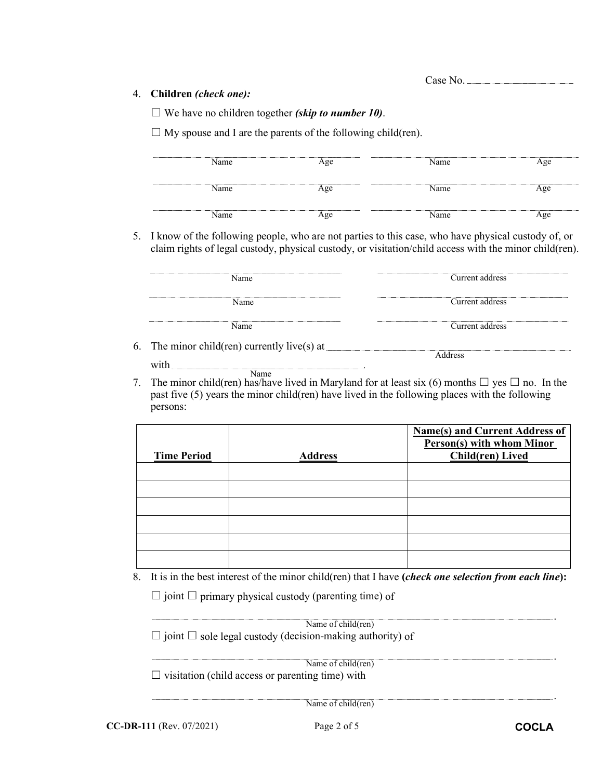## 4. **Children** *(check one):*

☐ We have no children together *(skip to number 10)*.

 $\Box$  My spouse and I are the parents of the following child(ren).

| Name                                | ----------------------<br>Age | Name | Age |
|-------------------------------------|-------------------------------|------|-----|
| ---------------------------<br>Name | Age                           | Name | Age |
| Name                                | Age                           | Name | Age |

5. I know of the following people, who are not parties to this case, who have physical custody of, or claim rights of legal custody, physical custody, or visitation/child access with the minor child(ren).

| Name                                      | Current address |  |
|-------------------------------------------|-----------------|--|
| Name:                                     | Current address |  |
| Name.                                     | Current address |  |
| The minor child(ren) currently live(s) at |                 |  |

- 6. The minor child(ren) currently live(s) at  $\frac{1}{\sqrt{2\pi}}$ with  $\frac{1}{2}$ Name **Address**
- 7. The minor child(ren) has/have lived in Maryland for at least six (6) months  $\Box$  yes  $\Box$  no. In the past five (5) years the minor child(ren) have lived in the following places with the following persons:

| <b>Time Period</b> | <b>Address</b> | <b>Name(s) and Current Address of</b><br>Person(s) with whom Minor<br><b>Child(ren)</b> Lived |
|--------------------|----------------|-----------------------------------------------------------------------------------------------|
|                    |                |                                                                                               |
|                    |                |                                                                                               |
|                    |                |                                                                                               |
|                    |                |                                                                                               |
|                    |                |                                                                                               |
|                    |                |                                                                                               |

8. It is in the best interest of the minor child(ren) that I have **(***check one selection from each line***):**

 $\Box$  joint  $\Box$  primary physical custody (parenting time) of

| Name of child(ren)                                                    |
|-----------------------------------------------------------------------|
| $\Box$ joint $\Box$ sole legal custody (decision-making authority) of |
|                                                                       |
| Name of child(ren)                                                    |
| $\Box$ visitation (child access or parenting time) with               |
|                                                                       |
| Name of child(ren)                                                    |

**CC-DR-111** (Rev. 07/2021) Page 2 of 5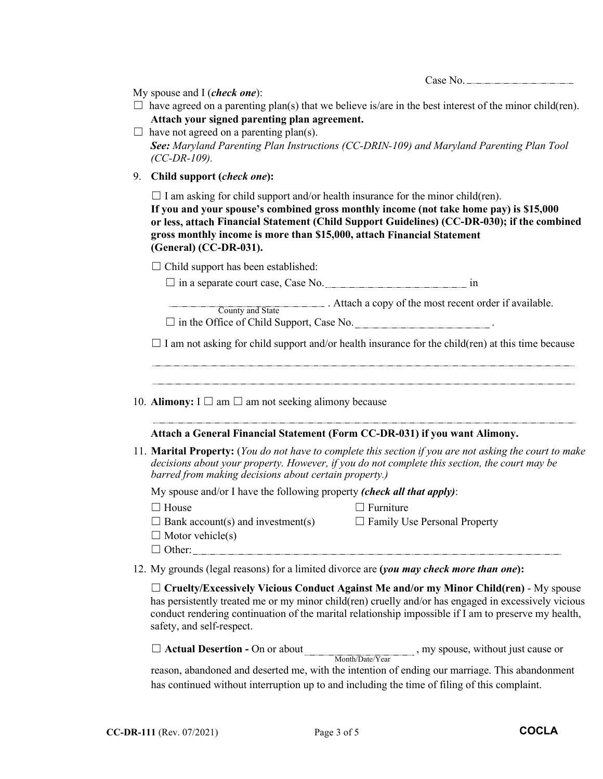|--|--|

My spouse and I (*check one*):

- $\Box$  have agreed on a parenting plan(s) that we believe is/are in the best interest of the minor child(ren). **Attach your signed parenting plan agreement.**
- $\Box$  have not agreed on a parenting plan(s). *See: Maryland Parenting Plan Instructions (CC-DRIN-109) and Maryland Parenting Plan Tool (CC-DR-109).*
- 9. **Child support (***check one***):**

 $\Box$  I am asking for child support and/or health insurance for the minor child(ren).

**If you and your spouse's combined gross monthly income (not take home pay) is \$15,000 or less, attach Financial Statement (Child Support Guidelines) (CC-DR-030); if the combined gross monthly income is more than \$15,000, attach Financial Statement (General) (CC-DR-031).**

 $\Box$  Child support has been established:

 $\square$  in a separate court case, Case No.  $\square$ 

. Attach a copy of the most recent order if available. County and State

 $\Box$  in the Office of Child Support, Case No.

 $\Box$  I am not asking for child support and/or health insurance for the child(ren) at this time because

10. **Alimony:**  $I \square$  am  $\square$  am not seeking alimony because

## **Attach a General Financial Statement (Form CC-DR-031) if you want Alimony.**

11. **Marital Property:** (*You do not have to complete this section if you are not asking the court to make decisions about your property. However, if you do not complete this section, the court may be barred from making decisions about certain property.)*

My spouse and/or I have the following property *(check all that apply)*:

□ House □ Furniture

- $\Box$  Bank account(s) and investment(s)  $\Box$  Family Use Personal Property
- 
- $\Box$  Motor vehicle(s)
- ☐ Other:
- 12. My grounds (legal reasons) for a limited divorce are **(***you may check more than one***):**

☐ **Cruelty/Excessively Vicious Conduct Against Me and/or my Minor Child(ren)** - My spouse has persistently treated me or my minor child(ren) cruelly and/or has engaged in excessively vicious conduct rendering continuation of the marital relationship impossible if I am to preserve my health, safety, and self-respect.

□ **Actual Desertion -** On or about , my spouse, without just cause or Month/Date/Year

reason, abandoned and deserted me, with the intention of ending our marriage. This abandonment has continued without interruption up to and including the time of filing of this complaint.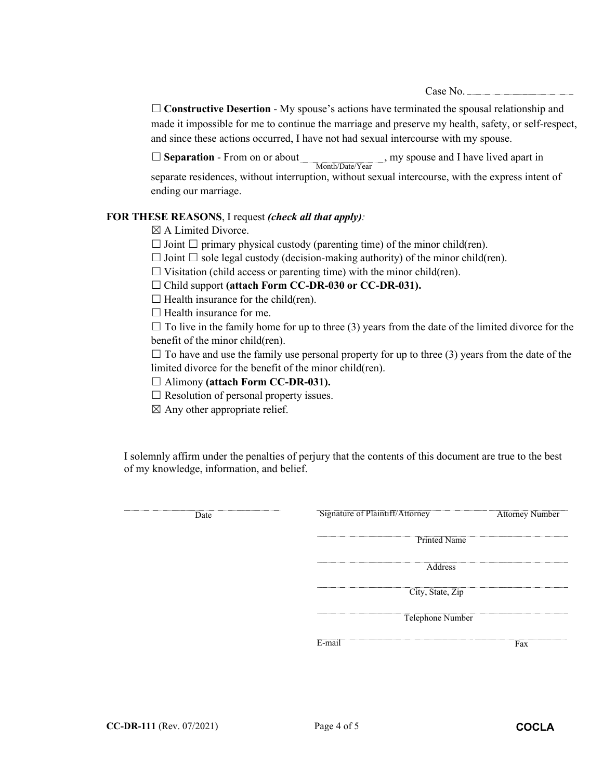Case No.

□ **Constructive Desertion** - My spouse's actions have terminated the spousal relationship and made it impossible for me to continue the marriage and preserve my health, safety, or self-respect, and since these actions occurred, I have not had sexual intercourse with my spouse.

□ **Separation** - From on or about Month/Date/Year, my spouse and I have lived apart in separate residences, without interruption, without sexual intercourse, with the express intent of ending our marriage.

## **FOR THESE REASONS**, I request *(check all that apply):*

 $\boxtimes$  A Limited Divorce.

- $\Box$  Joint  $\Box$  primary physical custody (parenting time) of the minor child(ren).
- $\Box$  Joint  $\Box$  sole legal custody (decision-making authority) of the minor child(ren).
- $\Box$  Visitation (child access or parenting time) with the minor child(ren).

☐ Child support **(attach Form CC-DR-030 or CC-DR-031).**

 $\Box$  Health insurance for the child(ren).

 $\Box$  Health insurance for me.

 $\Box$  To live in the family home for up to three (3) years from the date of the limited divorce for the benefit of the minor child(ren).

 $\Box$  To have and use the family use personal property for up to three (3) years from the date of the limited divorce for the benefit of the minor child(ren).

- ☐ Alimony **(attach Form CC-DR-031).**
- $\Box$  Resolution of personal property issues.
- $\boxtimes$  Any other appropriate relief.

I solemnly affirm under the penalties of perjury that the contents of this document are true to the best of my knowledge, information, and belief.

| Date | Signature of Plaintiff/Attorney | <b>Attorney Number</b> |
|------|---------------------------------|------------------------|
|      |                                 | <b>Printed Name</b>    |
|      | --------------------------      | Address                |
|      | City, State, Zip                |                        |
|      | ,,,,,,,,,,,,,,,,,,,,,,,,,,,     | Telephone Number       |
|      | E-mail                          | Fax                    |
|      |                                 |                        |